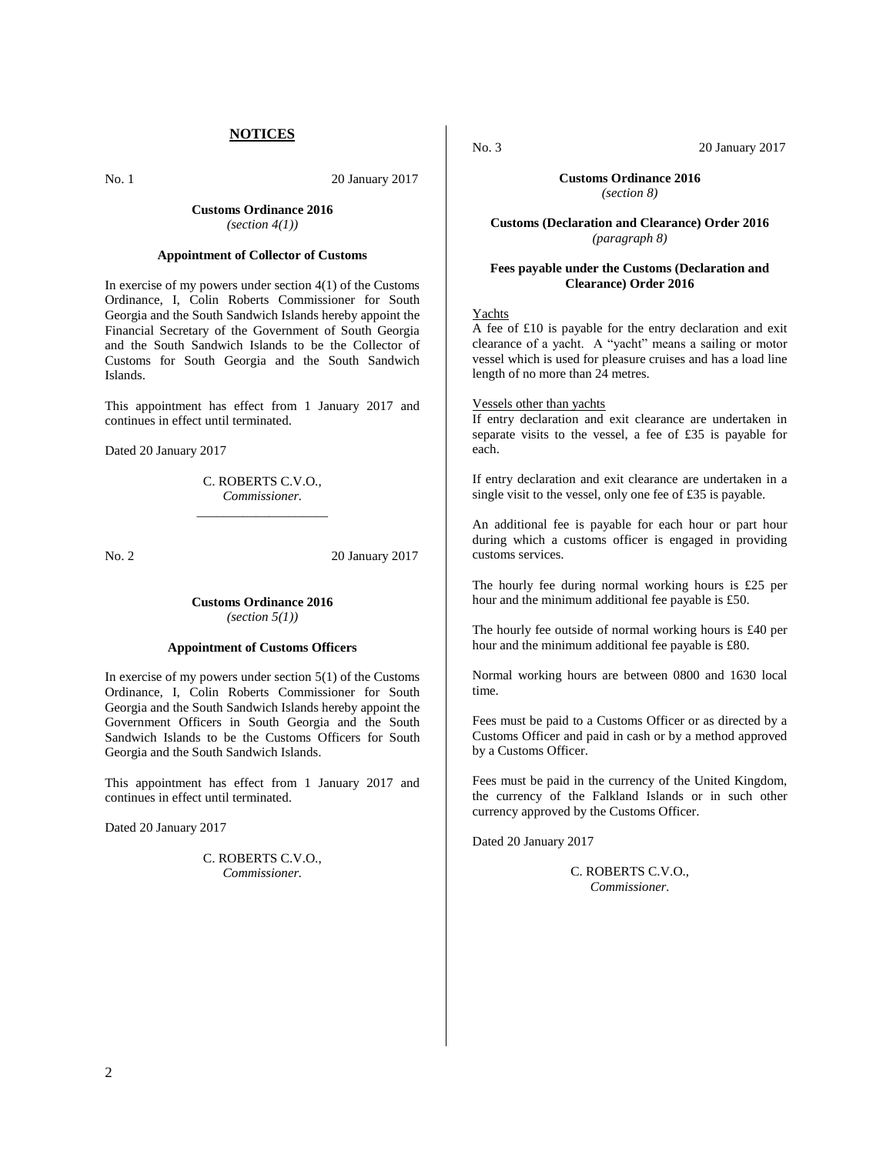# **NOTICES**

No. 1 20 January 2017

# **Customs Ordinance 2016** *(section 4(1))*

# **Appointment of Collector of Customs**

In exercise of my powers under section  $4(1)$  of the Customs Ordinance, I, Colin Roberts Commissioner for South Georgia and the South Sandwich Islands hereby appoint the Financial Secretary of the Government of South Georgia and the South Sandwich Islands to be the Collector of Customs for South Georgia and the South Sandwich Islands.

This appointment has effect from 1 January 2017 and continues in effect until terminated.

Dated 20 January 2017

C. ROBERTS C.V.O., *Commissioner.* \_\_\_\_\_\_\_\_\_\_\_\_\_\_\_\_\_\_\_\_

No. 2 20 January 2017

# **Customs Ordinance 2016** *(section 5(1))*

# **Appointment of Customs Officers**

In exercise of my powers under section 5(1) of the Customs Ordinance, I, Colin Roberts Commissioner for South Georgia and the South Sandwich Islands hereby appoint the Government Officers in South Georgia and the South Sandwich Islands to be the Customs Officers for South Georgia and the South Sandwich Islands.

This appointment has effect from 1 January 2017 and continues in effect until terminated.

Dated 20 January 2017

C. ROBERTS C.V.O., *Commissioner.*

No. 3 20 January 2017

# **Customs Ordinance 2016**

*(section 8)*

**Customs (Declaration and Clearance) Order 2016** *(paragraph 8)*

# **Fees payable under the Customs (Declaration and Clearance) Order 2016**

# Yachts

A fee of £10 is payable for the entry declaration and exit clearance of a yacht. A "yacht" means a sailing or motor vessel which is used for pleasure cruises and has a load line length of no more than 24 metres.

#### Vessels other than yachts

If entry declaration and exit clearance are undertaken in separate visits to the vessel, a fee of £35 is payable for each.

If entry declaration and exit clearance are undertaken in a single visit to the vessel, only one fee of £35 is payable.

An additional fee is payable for each hour or part hour during which a customs officer is engaged in providing customs services.

The hourly fee during normal working hours is £25 per hour and the minimum additional fee payable is £50.

The hourly fee outside of normal working hours is £40 per hour and the minimum additional fee payable is £80.

Normal working hours are between 0800 and 1630 local time.

Fees must be paid to a Customs Officer or as directed by a Customs Officer and paid in cash or by a method approved by a Customs Officer.

Fees must be paid in the currency of the United Kingdom, the currency of the Falkland Islands or in such other currency approved by the Customs Officer.

Dated 20 January 2017

C. ROBERTS C.V.O., *Commissioner.*